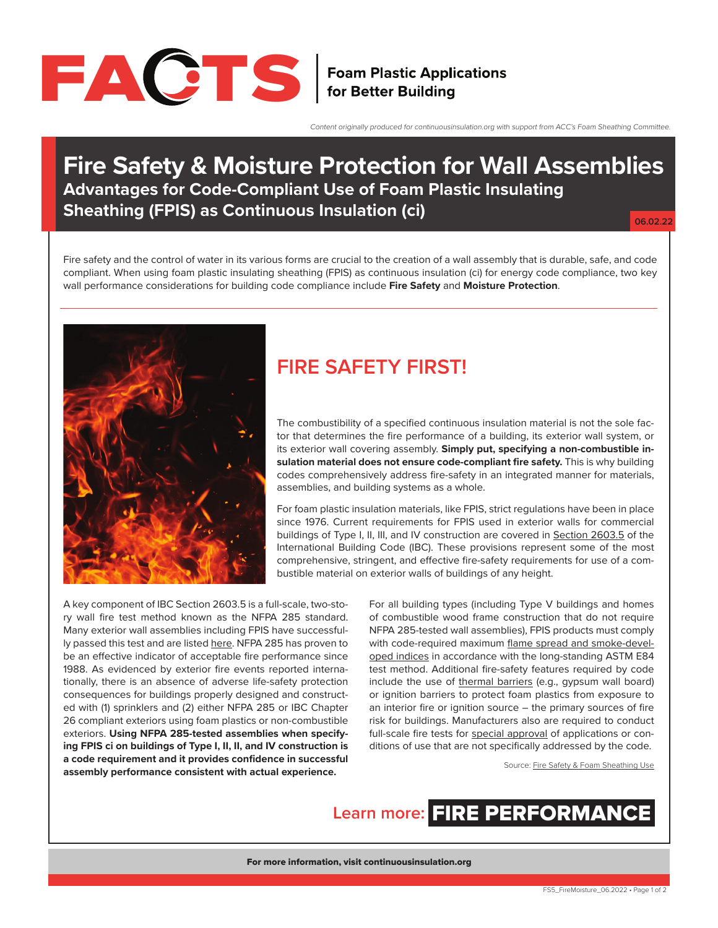

Content originally produced for continuousinsulation.org with support from ACC's Foam Sheathing Committee.

### **Fire Safety & Moisture Protection for Wall Assemblies Advantages for Code-Compliant Use of Foam Plastic Insulating Sheathing (FPIS) as Continuous Insulation (ci)**

**06.02.22**

Fire safety and the control of water in its various forms are crucial to the creation of a wall assembly that is durable, safe, and code compliant. When using foam plastic insulating sheathing (FPIS) as continuous insulation (ci) for energy code compliance, two key wall performance considerations for building code compliance include **Fire Safety** and **Moisture Protection**.



### **FIRE SAFETY FIRST!**

The combustibility of a specified continuous insulation material is not the sole factor that determines the fire performance of a building, its exterior wall system, or its exterior wall covering assembly. **Simply put, specifying a non-combustible insulation material does not ensure code-compliant fire safety.** This is why building codes comprehensively address fire-safety in an integrated manner for materials, assemblies, and building systems as a whole.

For foam plastic insulation materials, like FPIS, strict regulations have been in place since 1976. Current requirements for FPIS used in exterior walls for commercial buildings of Type I, II, III, and IV construction are covered in [Section 2603.5](https://codes.iccsafe.org/content/IBC2021P2/chapter-26-plastic#IBC2021P2_Ch26_Sec2603.5) of the International Building Code (IBC). These provisions represent some of the most comprehensive, stringent, and effective fire-safety requirements for use of a combustible material on exterior walls of buildings of any height.

A key component of IBC Section 2603.5 is a full-scale, two-story wall fire test method known as the NFPA 285 standard. Many exterior wall assemblies including FPIS have successfully passed this test and are listed [here](https://www.drjengineering.org/drr/1202-01). NFPA 285 has proven to be an effective indicator of acceptable fire performance since 1988. As evidenced by exterior fire events reported internationally, there is an absence of adverse life-safety protection consequences for buildings properly designed and constructed with (1) sprinklers and (2) either NFPA 285 or IBC Chapter 26 compliant exteriors using foam plastics or non-combustible exteriors. **Using NFPA 285-tested assemblies when specifying FPIS ci on buildings of Type I, II, II, and IV construction is a code requirement and it provides confidence in successful assembly performance consistent with actual experience.**

For all building types (including Type V buildings and homes of combustible wood frame construction that do not require NFPA 285-tested wall assemblies), FPIS products must comply with code-required maximum [flame spread and smoke-devel](https://codes.iccsafe.org/content/IBC2021P2/chapter-26-plastic#IBC2021P2_Ch26_Sec2603.3)[oped indices](https://codes.iccsafe.org/content/IBC2021P2/chapter-26-plastic#IBC2021P2_Ch26_Sec2603.3) in accordance with the long-standing ASTM E84 test method. Additional fire-safety features required by code include the use of [thermal barriers](https://codes.iccsafe.org/content/IBC2021P2/chapter-26-plastic#IBC2021P2_Ch26_Sec2603.4) (e.g., gypsum wall board) or ignition barriers to protect foam plastics from exposure to an interior fire or ignition source – the primary sources of fire risk for buildings. Manufacturers also are required to conduct full-scale fire tests for [special approval](https://codes.iccsafe.org/content/IBC2021P2/chapter-26-plastic#IBC2021P2_Ch26_Sec2603.9) of applications or conditions of use that are not specifically addressed by the code.

Source: [Fire Safety & Foam Sheathing Use](https://www.continuousinsulation.org/sites/default/files/uploads/attachments/node/207/accflyerfinalupdated.pdf)

**Learn more:** [FIRE PERFORMANCE](https://www.continuousinsulation.org/applications/fire-performance/?utm_source=FactSheet5&utm_medium=pdf&utm_campaign=factsheets)

For more information, visit [continuousinsulation.org](https://www.continuousinsulation.org)